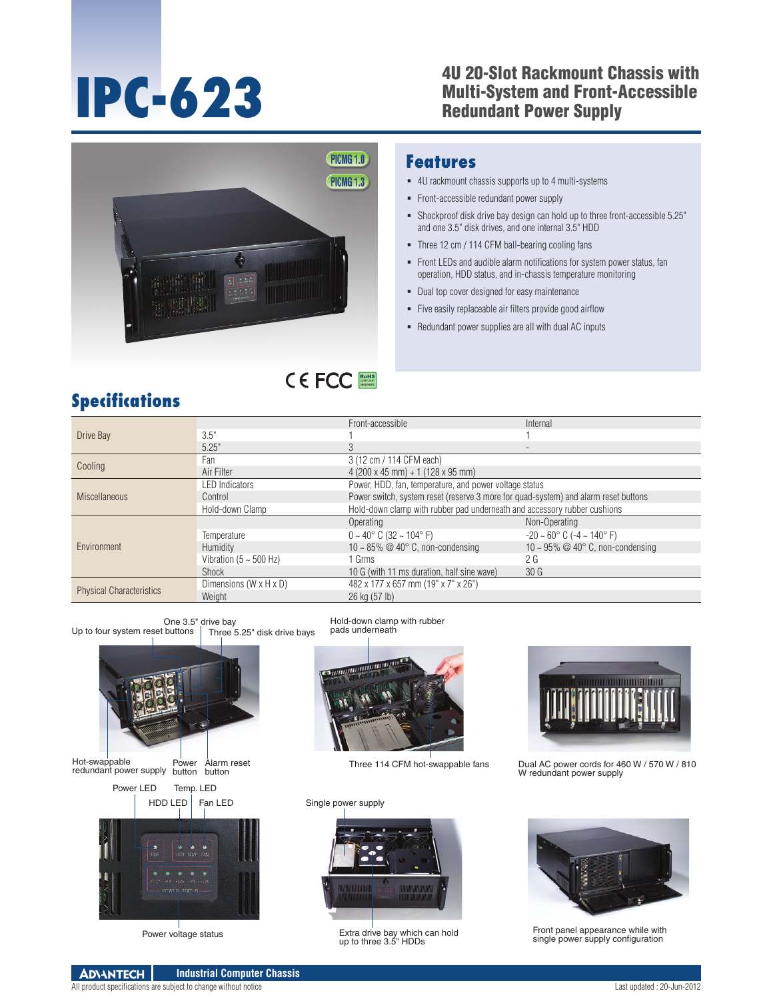### **IPC-623** 4U 20-Slot Rackmount Chassis with<br>
Multi-System and Front-Accessible<br>
Redundant Power Supply Multi-System and Front-Accessible Redundant Power Supply



#### **Features**

- 4U rackmount chassis supports up to 4 multi-systems
- Front-accessible redundant power supply
- Shockproof disk drive bay design can hold up to three front-accessible 5.25" and one 3.5" disk drives, and one internal 3.5" HDD
- Three 12 cm / 114 CFM ball-bearing cooling fans
- Front LEDs and audible alarm notifications for system power status, fan operation, HDD status, and in-chassis temperature monitoring
- Dual top cover designed for easy maintenance
- Five easily replaceable air filters provide good airflow
- Redundant power supplies are all with dual AC inputs

## **Specifications**

| Drive Bay                       |                                    | Front-accessible                                                                    | Internal                                           |
|---------------------------------|------------------------------------|-------------------------------------------------------------------------------------|----------------------------------------------------|
|                                 | 3.5"                               |                                                                                     |                                                    |
|                                 | 5.25"                              |                                                                                     |                                                    |
| Cooling                         | Fan                                | 3 (12 cm / 114 CFM each)                                                            |                                                    |
|                                 | Air Filter                         | $4(200 \times 45 \text{ mm}) + 1(128 \times 95 \text{ mm})$                         |                                                    |
| <b>Miscellaneous</b>            | <b>LED Indicators</b>              | Power, HDD, fan, temperature, and power voltage status                              |                                                    |
|                                 | Control                            | Power switch, system reset (reserve 3 more for quad-system) and alarm reset buttons |                                                    |
|                                 | Hold-down Clamp                    | Hold-down clamp with rubber pad underneath and accessory rubber cushions            |                                                    |
| Environment                     |                                    | Operating                                                                           | Non-Operating                                      |
|                                 | Temperature                        | $0 \sim 40^{\circ}$ C (32 $\sim 104^{\circ}$ F)                                     | $-20 \sim 60^{\circ}$ C ( $-4 \sim 140^{\circ}$ F) |
|                                 | <b>Humidity</b>                    | 10 ~ 85% $@$ 40 $^{\circ}$ C, non-condensing                                        | 10 ~ 95% @ 40 $^{\circ}$ C, non-condensing         |
|                                 | Vibration ( $5 \sim 500$ Hz)       | 1 Grms                                                                              | 2 <sub>G</sub>                                     |
|                                 | Shock                              | 10 G (with 11 ms duration, half sine wave)                                          | 30 <sub>G</sub>                                    |
| <b>Physical Characteristics</b> | Dimensions $(W \times H \times D)$ | 482 x 177 x 657 mm (19" x 7" x 26")                                                 |                                                    |
|                                 | Weight                             | 26 kg (57 lb)                                                                       |                                                    |

RoHS **COMPLIANT 2002/95/EC**





Power button Alarm reset button Hot-swappable redundant power supply





Three 114 CFM hot-swappable fans

Single power supply



Power voltage status Extra drive bay which can hold up to three 3.5" HDDs



Dual AC power cords for 460 W / 570 W / 810 W redundant power supply



Front panel appearance while with single power supply configuration